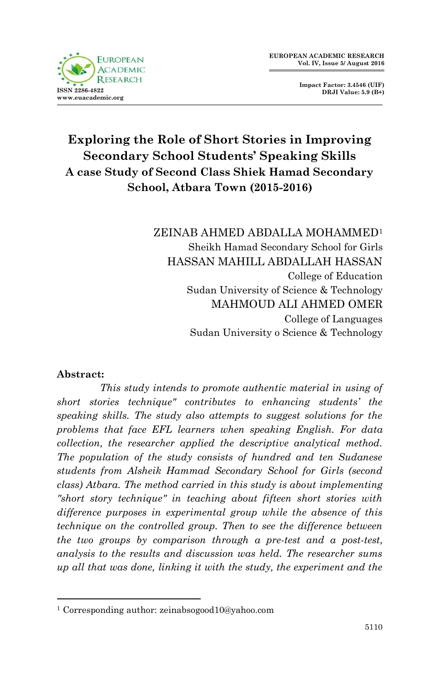

**Impact Factor: 3.4546 (UIF) DRJI Value: 5.9 (B+)**

# **Exploring the Role of Short Stories in Improving Secondary School Students' Speaking Skills A case Study of Second Class Shiek Hamad Secondary School, Atbara Town (2015-2016)**

ZEINAB AHMED ABDALLA MOHAMMED<sup>1</sup> Sheikh Hamad Secondary School for Girls HASSAN MAHILL ABDALLAH HASSAN College of Education Sudan University of Science & Technology MAHMOUD ALI AHMED OMER College of Languages Sudan University o Science & Technology

#### **Abstract:**

1

 *This study intends to promote authentic material in using of short stories technique" contributes to enhancing students' the speaking skills. The study also attempts to suggest solutions for the problems that face EFL learners when speaking English. For data collection, the researcher applied the descriptive analytical method. The population of the study consists of hundred and ten Sudanese students from Alsheik Hammad Secondary School for Girls (second class) Atbara. The method carried in this study is about implementing "short story technique" in teaching about fifteen short stories with difference purposes in experimental group while the absence of this technique on the controlled group. Then to see the difference between the two groups by comparison through a pre-test and a post-test, analysis to the results and discussion was held. The researcher sums up all that was done, linking it with the study, the experiment and the* 

<sup>1</sup> Corresponding author: zeinabsogood10@yahoo.com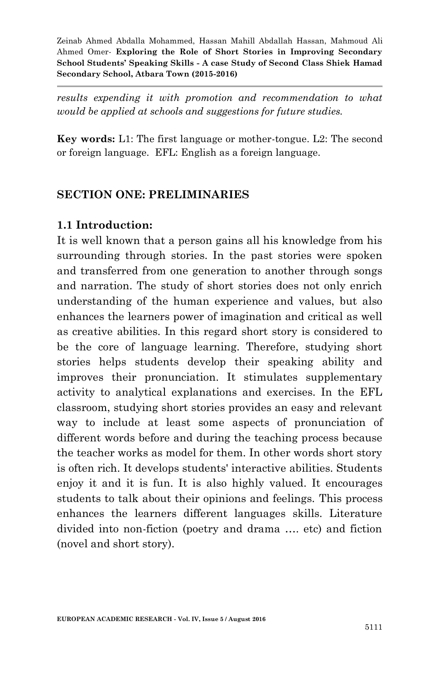*results expending it with promotion and recommendation to what would be applied at schools and suggestions for future studies.*

**Key words:** L1: The first language or mother-tongue. L2: The second or foreign language. EFL: English as a foreign language.

#### **SECTION ONE: PRELIMINARIES**

#### **1.1 Introduction:**

It is well known that a person gains all his knowledge from his surrounding through stories. In the past stories were spoken and transferred from one generation to another through songs and narration. The study of short stories does not only enrich understanding of the human experience and values, but also enhances the learners power of imagination and critical as well as creative abilities. In this regard short story is considered to be the core of language learning. Therefore, studying short stories helps students develop their speaking ability and improves their pronunciation. It stimulates supplementary activity to analytical explanations and exercises. In the EFL classroom, studying short stories provides an easy and relevant way to include at least some aspects of pronunciation of different words before and during the teaching process because the teacher works as model for them. In other words short story is often rich. It develops students' interactive abilities. Students enjoy it and it is fun. It is also highly valued. It encourages students to talk about their opinions and feelings. This process enhances the learners different languages skills. Literature divided into non-fiction (poetry and drama …. etc) and fiction (novel and short story).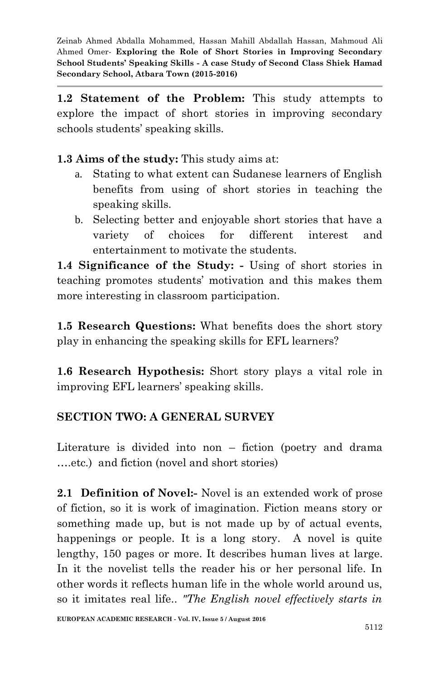**1.2 Statement of the Problem:** This study attempts to explore the impact of short stories in improving secondary schools students' speaking skills.

**1.3 Aims of the study:** This study aims at:

- a. Stating to what extent can Sudanese learners of English benefits from using of short stories in teaching the speaking skills.
- b. Selecting better and enjoyable short stories that have a variety of choices for different interest and entertainment to motivate the students.

**1.4 Significance of the Study: -** Using of short stories in teaching promotes students' motivation and this makes them more interesting in classroom participation.

**1.5 Research Questions:** What benefits does the short story play in enhancing the speaking skills for EFL learners?

**1.6 Research Hypothesis:** Short story plays a vital role in improving EFL learners' speaking skills.

### **SECTION TWO: A GENERAL SURVEY**

Literature is divided into non – fiction (poetry and drama ….etc.) and fiction (novel and short stories)

**2.1 Definition of Novel:-** Novel is an extended work of prose of fiction, so it is work of imagination. Fiction means story or something made up, but is not made up by of actual events, happenings or people. It is a long story. A novel is quite lengthy, 150 pages or more. It describes human lives at large. In it the novelist tells the reader his or her personal life. In other words it reflects human life in the whole world around us, so it imitates real life.. *"The English novel effectively starts in*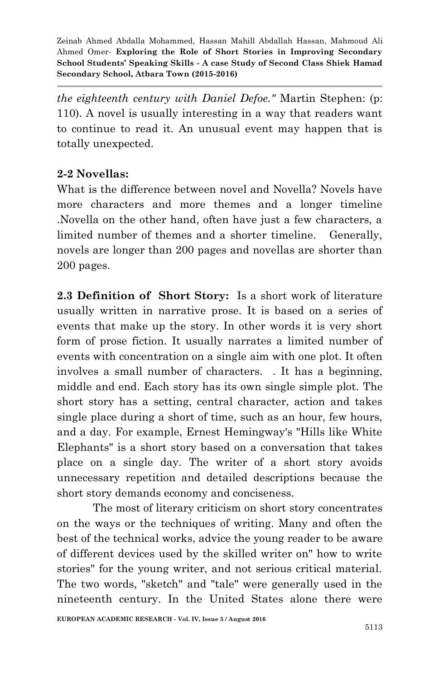*the eighteenth century with Daniel Defoe."* Martin Stephen: (p: 110). A novel is usually interesting in a way that readers want to continue to read it. An unusual event may happen that is totally unexpected.

### **2-2 Novellas:**

What is the difference between novel and Novella? Novels have more characters and more themes and a longer timeline .Novella on the other hand, often have just a few characters, a limited number of themes and a shorter timeline. Generally, novels are longer than 200 pages and novellas are shorter than 200 pages.

**2.3 Definition of Short Story:** Is a short work of literature usually written in narrative prose. It is based on a series of events that make up the story. In other words it is very short form of prose fiction. It usually narrates a limited number of events with concentration on a single aim with one plot. It often involves a small number of characters. . It has a beginning, middle and end. Each story has its own single simple plot. The short story has a setting, central character, action and takes single place during a short of time, such as an hour, few hours, and a day. For example, Ernest Hemingway's "Hills like White Elephants" is a short story based on a conversation that takes place on a single day. The writer of a short story avoids unnecessary repetition and detailed descriptions because the short story demands economy and conciseness.

The most of literary criticism on short story concentrates on the ways or the techniques of writing. Many and often the best of the technical works, advice the young reader to be aware of different devices used by the skilled writer on" how to write stories" for the young writer, and not serious critical material. The two words, "sketch" and "tale" were generally used in the nineteenth century. In the United States alone there were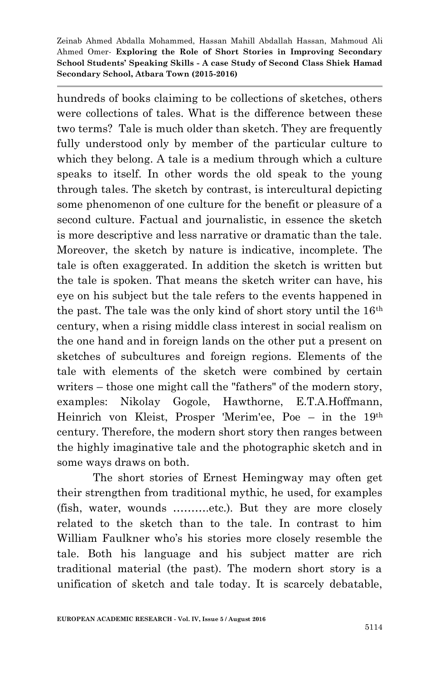hundreds of books claiming to be collections of sketches, others were collections of tales. What is the difference between these two terms? Tale is much older than sketch. They are frequently fully understood only by member of the particular culture to which they belong. A tale is a medium through which a culture speaks to itself. In other words the old speak to the young through tales. The sketch by contrast, is intercultural depicting some phenomenon of one culture for the benefit or pleasure of a second culture. Factual and journalistic, in essence the sketch is more descriptive and less narrative or dramatic than the tale. Moreover, the sketch by nature is indicative, incomplete. The tale is often exaggerated. In addition the sketch is written but the tale is spoken. That means the sketch writer can have, his eye on his subject but the tale refers to the events happened in the past. The tale was the only kind of short story until the 16th century, when a rising middle class interest in social realism on the one hand and in foreign lands on the other put a present on sketches of subcultures and foreign regions. Elements of the tale with elements of the sketch were combined by certain writers – those one might call the "fathers" of the modern story, examples: Nikolay Gogole, Hawthorne, E.T.A.Hoffmann, Heinrich von Kleist, Prosper 'Merim'ee, Poe – in the 19th century. Therefore, the modern short story then ranges between the highly imaginative tale and the photographic sketch and in some ways draws on both.

The short stories of Ernest Hemingway may often get their strengthen from traditional mythic, he used, for examples (fish, water, wounds ……….etc.). But they are more closely related to the sketch than to the tale. In contrast to him William Faulkner who's his stories more closely resemble the tale. Both his language and his subject matter are rich traditional material (the past). The modern short story is a unification of sketch and tale today. It is scarcely debatable,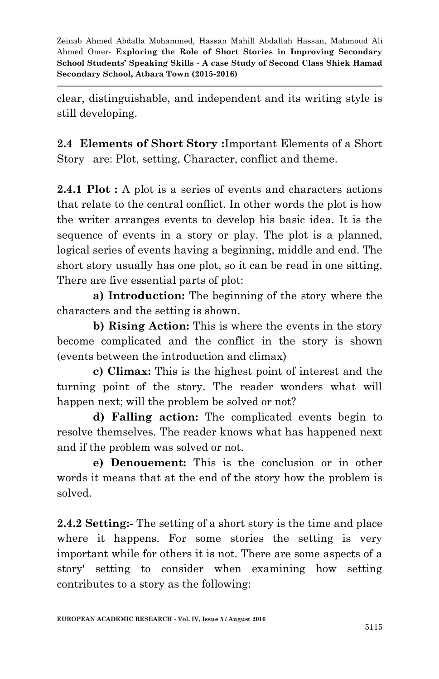clear, distinguishable, and independent and its writing style is still developing.

**2.4 Elements of Short Story :**Important Elements of a Short Story are: Plot, setting, Character, conflict and theme.

**2.4.1 Plot :** A plot is a series of events and characters actions that relate to the central conflict. In other words the plot is how the writer arranges events to develop his basic idea. It is the sequence of events in a story or play. The plot is a planned, logical series of events having a beginning, middle and end. The short story usually has one plot, so it can be read in one sitting. There are five essential parts of plot:

**a) Introduction:** The beginning of the story where the characters and the setting is shown.

**b) Rising Action:** This is where the events in the story become complicated and the conflict in the story is shown (events between the introduction and climax)

**c) Climax:** This is the highest point of interest and the turning point of the story. The reader wonders what will happen next; will the problem be solved or not?

**d) Falling action:** The complicated events begin to resolve themselves. The reader knows what has happened next and if the problem was solved or not.

**e) Denouement:** This is the conclusion or in other words it means that at the end of the story how the problem is solved.

**2.4.2 Setting:-** The setting of a short story is the time and place where it happens. For some stories the setting is very important while for others it is not. There are some aspects of a story' setting to consider when examining how setting contributes to a story as the following: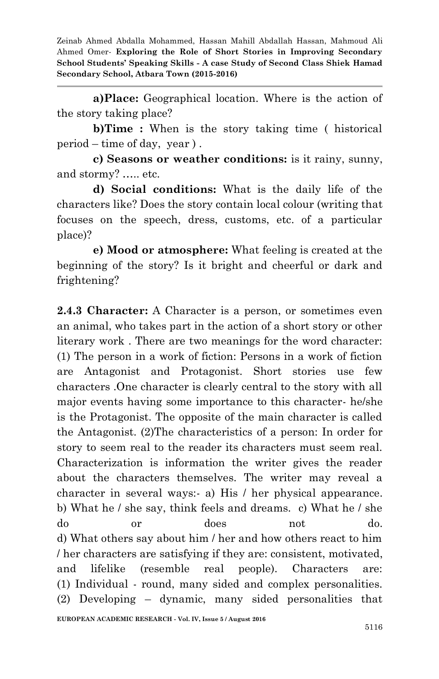**a)Place:** Geographical location. Where is the action of the story taking place?

**b)Time :** When is the story taking time ( historical period – time of day, year ) .

**c) Seasons or weather conditions:** is it rainy, sunny, and stormy? ….. etc.

**d) Social conditions:** What is the daily life of the characters like? Does the story contain local colour (writing that focuses on the speech, dress, customs, etc. of a particular place)?

**e) Mood or atmosphere:** What feeling is created at the beginning of the story? Is it bright and cheerful or dark and frightening?

**2.4.3 Character:** A Character is a person, or sometimes even an animal, who takes part in the action of a short story or other literary work . There are two meanings for the word character: (1) The person in a work of fiction: Persons in a work of fiction are Antagonist and Protagonist. Short stories use few characters .One character is clearly central to the story with all major events having some importance to this character- he/she is the Protagonist. The opposite of the main character is called the Antagonist. (2)The characteristics of a person: In order for story to seem real to the reader its characters must seem real. Characterization is information the writer gives the reader about the characters themselves. The writer may reveal a character in several ways:- a) His / her physical appearance. b) What he / she say, think feels and dreams. c) What he / she do or does not do. d) What others say about him / her and how others react to him / her characters are satisfying if they are: consistent, motivated, and lifelike (resemble real people). Characters are: (1) Individual - round, many sided and complex personalities. (2) Developing – dynamic, many sided personalities that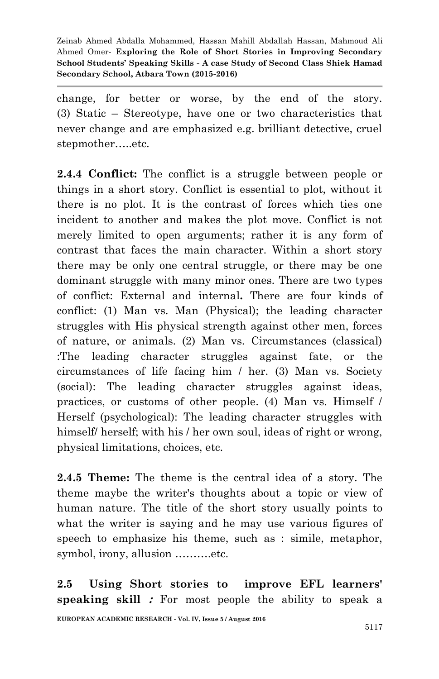change, for better or worse, by the end of the story. (3) Static – Stereotype, have one or two characteristics that never change and are emphasized e.g. brilliant detective, cruel stepmother…..etc.

**2.4.4 Conflict:** The conflict is a struggle between people or things in a short story. Conflict is essential to plot, without it there is no plot. It is the contrast of forces which ties one incident to another and makes the plot move. Conflict is not merely limited to open arguments; rather it is any form of contrast that faces the main character. Within a short story there may be only one central struggle, or there may be one dominant struggle with many minor ones. There are two types of conflict: External and internal**.** There are four kinds of conflict: (1) Man vs. Man (Physical); the leading character struggles with His physical strength against other men, forces of nature, or animals. (2) Man vs. Circumstances (classical) :The leading character struggles against fate, or the circumstances of life facing him / her. (3) Man vs. Society (social): The leading character struggles against ideas, practices, or customs of other people. (4) Man vs. Himself / Herself (psychological): The leading character struggles with himself/ herself; with his / her own soul, ideas of right or wrong, physical limitations, choices, etc.

**2.4.5 Theme:** The theme is the central idea of a story. The theme maybe the writer's thoughts about a topic or view of human nature. The title of the short story usually points to what the writer is saying and he may use various figures of speech to emphasize his theme, such as : simile, metaphor, symbol, irony, allusion ……….etc.

**2.5 Using Short stories to improve EFL learners' speaking skill :** For most people the ability to speak a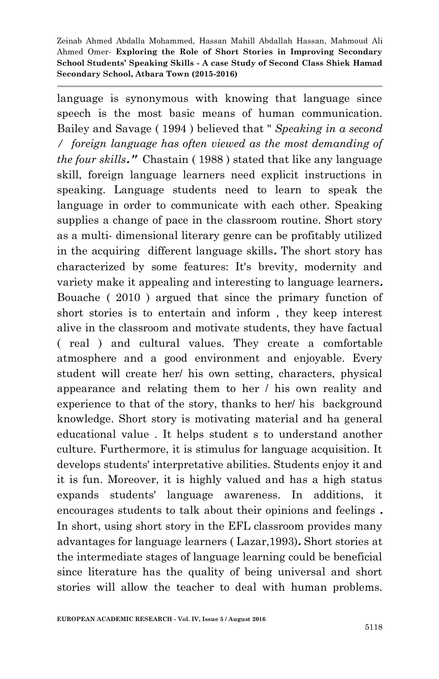language is synonymous with knowing that language since speech is the most basic means of human communication. Bailey and Savage ( 1994 ) believed that " *Speaking in a second / foreign language has often viewed as the most demanding of the four skills***."** Chastain ( 1988 ) stated that like any language skill, foreign language learners need explicit instructions in speaking. Language students need to learn to speak the language in order to communicate with each other. Speaking supplies a change of pace in the classroom routine. Short story as a multi- dimensional literary genre can be profitably utilized in the acquiring different language skills**.** The short story has characterized by some features: It's brevity, modernity and variety make it appealing and interesting to language learners**.** Bouache ( 2010 ) argued that since the primary function of short stories is to entertain and inform , they keep interest alive in the classroom and motivate students, they have factual ( real ) and cultural values. They create a comfortable atmosphere and a good environment and enjoyable. Every student will create her/ his own setting, characters, physical appearance and relating them to her / his own reality and experience to that of the story, thanks to her/ his background knowledge. Short story is motivating material and ha general educational value . It helps student s to understand another culture. Furthermore, it is stimulus for language acquisition. It develops students' interpretative abilities. Students enjoy it and it is fun. Moreover, it is highly valued and has a high status expands students' language awareness. In additions, it encourages students to talk about their opinions and feelings **.** In short, using short story in the EFL classroom provides many advantages for language learners ( Lazar,1993)**.** Short stories at the intermediate stages of language learning could be beneficial since literature has the quality of being universal and short stories will allow the teacher to deal with human problems.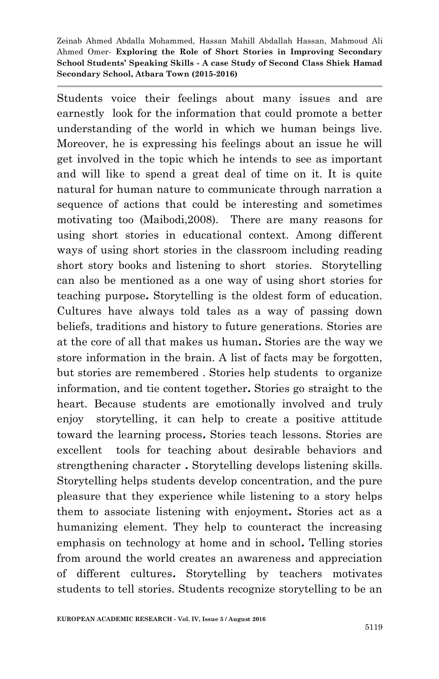Students voice their feelings about many issues and are earnestly look for the information that could promote a better understanding of the world in which we human beings live. Moreover, he is expressing his feelings about an issue he will get involved in the topic which he intends to see as important and will like to spend a great deal of time on it. It is quite natural for human nature to communicate through narration a sequence of actions that could be interesting and sometimes motivating too (Maibodi,2008). There are many reasons for using short stories in educational context. Among different ways of using short stories in the classroom including reading short story books and listening to short stories. Storytelling can also be mentioned as a one way of using short stories for teaching purpose**.** Storytelling is the oldest form of education. Cultures have always told tales as a way of passing down beliefs, traditions and history to future generations. Stories are at the core of all that makes us human**.** Stories are the way we store information in the brain. A list of facts may be forgotten, but stories are remembered . Stories help students to organize information, and tie content together**.** Stories go straight to the heart. Because students are emotionally involved and truly enjoy storytelling, it can help to create a positive attitude toward the learning process**.** Stories teach lessons. Stories are excellent tools for teaching about desirable behaviors and strengthening character **.** Storytelling develops listening skills. Storytelling helps students develop concentration, and the pure pleasure that they experience while listening to a story helps them to associate listening with enjoyment**.** Stories act as a humanizing element. They help to counteract the increasing emphasis on technology at home and in school**.** Telling stories from around the world creates an awareness and appreciation of different cultures**.** Storytelling by teachers motivates students to tell stories. Students recognize storytelling to be an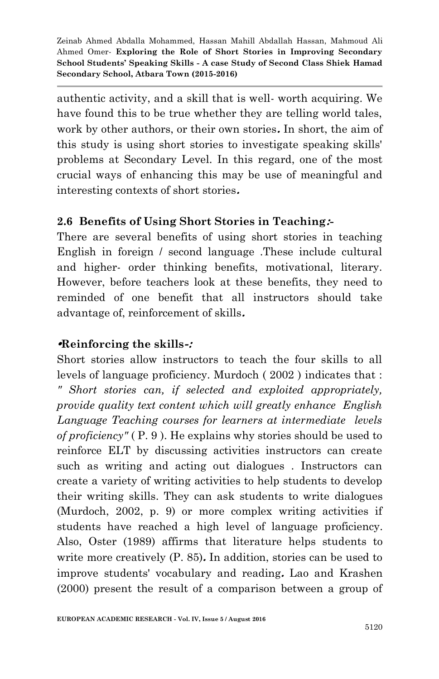authentic activity, and a skill that is well- worth acquiring. We have found this to be true whether they are telling world tales, work by other authors, or their own stories**.** In short, the aim of this study is using short stories to investigate speaking skills' problems at Secondary Level. In this regard, one of the most crucial ways of enhancing this may be use of meaningful and interesting contexts of short stories**.**

## **2.6 Benefits of Using Short Stories in Teaching:-**

There are several benefits of using short stories in teaching English in foreign / second language .These include cultural and higher- order thinking benefits, motivational, literary. However, before teachers look at these benefits, they need to reminded of one benefit that all instructors should take advantage of, reinforcement of skills**.**

### **•Reinforcing the skills-:**

Short stories allow instructors to teach the four skills to all levels of language proficiency. Murdoch ( 2002 ) indicates that : *" Short stories can, if selected and exploited appropriately, provide quality text content which will greatly enhance English Language Teaching courses for learners at intermediate levels of proficiency"* ( P. 9 ). He explains why stories should be used to reinforce ELT by discussing activities instructors can create such as writing and acting out dialogues . Instructors can create a variety of writing activities to help students to develop their writing skills. They can ask students to write dialogues (Murdoch, 2002, p. 9) or more complex writing activities if students have reached a high level of language proficiency. Also, Oster (1989) affirms that literature helps students to write more creatively (P. 85)**.** In addition, stories can be used to improve students' vocabulary and reading**.** Lao and Krashen (2000) present the result of a comparison between a group of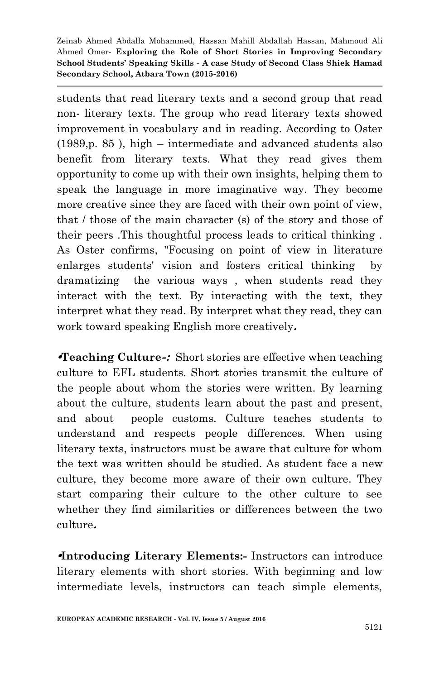students that read literary texts and a second group that read non- literary texts. The group who read literary texts showed improvement in vocabulary and in reading. According to Oster (1989,p. 85 ), high – intermediate and advanced students also benefit from literary texts. What they read gives them opportunity to come up with their own insights, helping them to speak the language in more imaginative way. They become more creative since they are faced with their own point of view, that / those of the main character (s) of the story and those of their peers .This thoughtful process leads to critical thinking . As Oster confirms, "Focusing on point of view in literature enlarges students' vision and fosters critical thinking by dramatizing the various ways , when students read they interact with the text. By interacting with the text, they interpret what they read. By interpret what they read, they can work toward speaking English more creatively**.**

**•Teaching Culture-:** Short stories are effective when teaching culture to EFL students. Short stories transmit the culture of the people about whom the stories were written. By learning about the culture, students learn about the past and present, and about people customs. Culture teaches students to understand and respects people differences. When using literary texts, instructors must be aware that culture for whom the text was written should be studied. As student face a new culture, they become more aware of their own culture. They start comparing their culture to the other culture to see whether they find similarities or differences between the two culture**.**

**•Introducing Literary Elements:-** Instructors can introduce literary elements with short stories. With beginning and low intermediate levels, instructors can teach simple elements,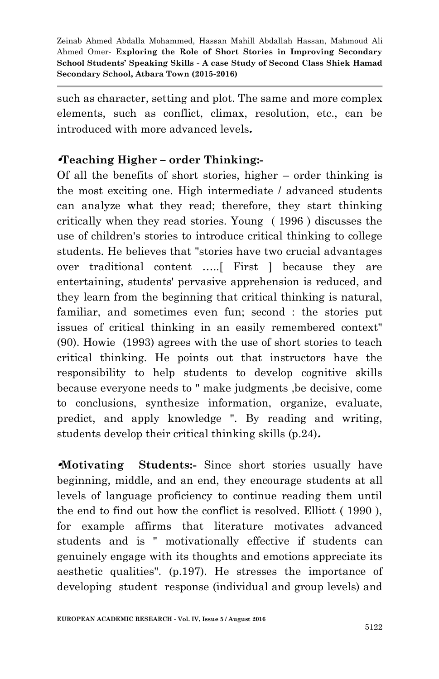such as character, setting and plot. The same and more complex elements, such as conflict, climax, resolution, etc., can be introduced with more advanced levels**.**

### **•Teaching Higher – order Thinking:-**

Of all the benefits of short stories, higher – order thinking is the most exciting one. High intermediate / advanced students can analyze what they read; therefore, they start thinking critically when they read stories. Young ( 1996 ) discusses the use of children's stories to introduce critical thinking to college students. He believes that "stories have two crucial advantages over traditional content …..[ First ] because they are entertaining, students' pervasive apprehension is reduced, and they learn from the beginning that critical thinking is natural, familiar, and sometimes even fun; second : the stories put issues of critical thinking in an easily remembered context" (90). Howie (1993) agrees with the use of short stories to teach critical thinking. He points out that instructors have the responsibility to help students to develop cognitive skills because everyone needs to " make judgments ,be decisive, come to conclusions, synthesize information, organize, evaluate, predict, and apply knowledge ". By reading and writing, students develop their critical thinking skills (p.24)**.**

**•Motivating Students:-** Since short stories usually have beginning, middle, and an end, they encourage students at all levels of language proficiency to continue reading them until the end to find out how the conflict is resolved. Elliott ( 1990 ), for example affirms that literature motivates advanced students and is " motivationally effective if students can genuinely engage with its thoughts and emotions appreciate its aesthetic qualities". (p.197). He stresses the importance of developing student response (individual and group levels) and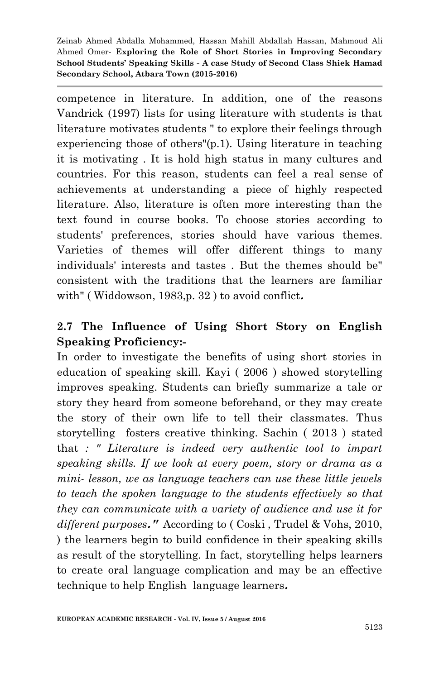competence in literature. In addition, one of the reasons Vandrick (1997) lists for using literature with students is that literature motivates students " to explore their feelings through experiencing those of others"(p.1). Using literature in teaching it is motivating . It is hold high status in many cultures and countries. For this reason, students can feel a real sense of achievements at understanding a piece of highly respected literature. Also, literature is often more interesting than the text found in course books. To choose stories according to students' preferences, stories should have various themes. Varieties of themes will offer different things to many individuals' interests and tastes . But the themes should be" consistent with the traditions that the learners are familiar with" ( Widdowson, 1983,p. 32 ) to avoid conflict**.**

## **2.7 The Influence of Using Short Story on English Speaking Proficiency:-**

In order to investigate the benefits of using short stories in education of speaking skill. Kayi ( 2006 ) showed storytelling improves speaking. Students can briefly summarize a tale or story they heard from someone beforehand, or they may create the story of their own life to tell their classmates. Thus storytelling fosters creative thinking. Sachin ( 2013 ) stated that *: " Literature is indeed very authentic tool to impart speaking skills. If we look at every poem, story or drama as a mini- lesson, we as language teachers can use these little jewels to teach the spoken language to the students effectively so that they can communicate with a variety of audience and use it for different purposes***."** According to ( Coski , Trudel & Vohs, 2010, ) the learners begin to build confidence in their speaking skills as result of the storytelling. In fact, storytelling helps learners to create oral language complication and may be an effective technique to help English language learners**.**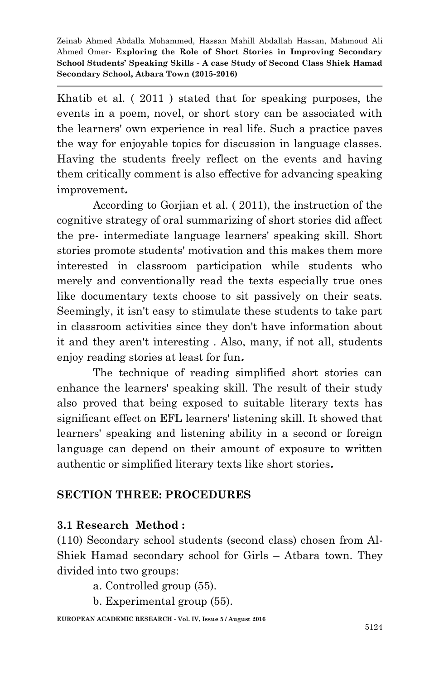Khatib et al. ( 2011 ) stated that for speaking purposes, the events in a poem, novel, or short story can be associated with the learners' own experience in real life. Such a practice paves the way for enjoyable topics for discussion in language classes. Having the students freely reflect on the events and having them critically comment is also effective for advancing speaking improvement**.**

According to Gorjian et al. ( 2011), the instruction of the cognitive strategy of oral summarizing of short stories did affect the pre- intermediate language learners' speaking skill. Short stories promote students' motivation and this makes them more interested in classroom participation while students who merely and conventionally read the texts especially true ones like documentary texts choose to sit passively on their seats. Seemingly, it isn't easy to stimulate these students to take part in classroom activities since they don't have information about it and they aren't interesting . Also, many, if not all, students enjoy reading stories at least for fun**.**

The technique of reading simplified short stories can enhance the learners' speaking skill. The result of their study also proved that being exposed to suitable literary texts has significant effect on EFL learners' listening skill. It showed that learners' speaking and listening ability in a second or foreign language can depend on their amount of exposure to written authentic or simplified literary texts like short stories**.**

### **SECTION THREE: PROCEDURES**

### **3.1 Research Method :**

(110) Secondary school students (second class) chosen from Al-Shiek Hamad secondary school for Girls – Atbara town. They divided into two groups:

a. Controlled group (55).

b. Experimental group (55).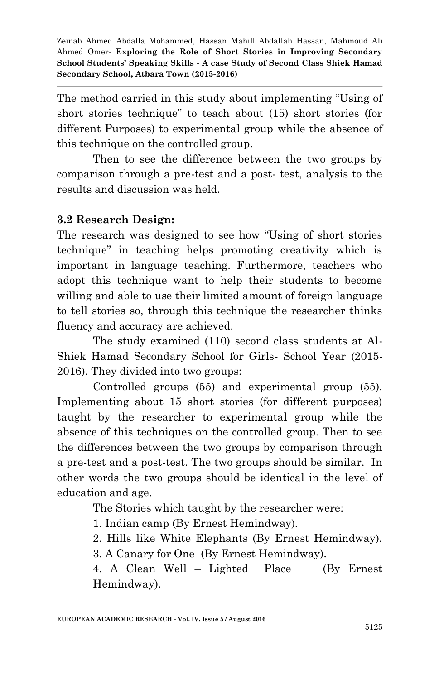The method carried in this study about implementing "Using of short stories technique" to teach about (15) short stories (for different Purposes) to experimental group while the absence of this technique on the controlled group.

Then to see the difference between the two groups by comparison through a pre-test and a post- test, analysis to the results and discussion was held.

### **3.2 Research Design:**

The research was designed to see how "Using of short stories technique" in teaching helps promoting creativity which is important in language teaching. Furthermore, teachers who adopt this technique want to help their students to become willing and able to use their limited amount of foreign language to tell stories so, through this technique the researcher thinks fluency and accuracy are achieved.

The study examined (110) second class students at Al-Shiek Hamad Secondary School for Girls- School Year (2015- 2016). They divided into two groups:

Controlled groups (55) and experimental group (55). Implementing about 15 short stories (for different purposes) taught by the researcher to experimental group while the absence of this techniques on the controlled group. Then to see the differences between the two groups by comparison through a pre-test and a post-test. The two groups should be similar. In other words the two groups should be identical in the level of education and age.

The Stories which taught by the researcher were:

- 1. Indian camp (By Ernest Hemindway).
- 2. Hills like White Elephants (By Ernest Hemindway).
- 3. A Canary for One (By Ernest Hemindway).

4. A Clean Well – Lighted Place (By Ernest Hemindway).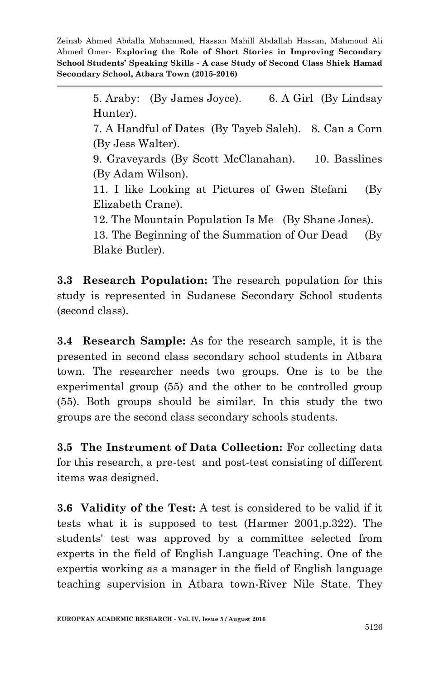> 5. Araby: (By James Joyce). 6. A Girl (By Lindsay Hunter).

> 7. A Handful of Dates (By Tayeb Saleh). 8. Can a Corn (By Jess Walter).

> 9. Graveyards (By Scott McClanahan). 10. Basslines (By Adam Wilson).

> 11. I like Looking at Pictures of Gwen Stefani (By Elizabeth Crane).

12. The Mountain Population Is Me (By Shane Jones).

13. The Beginning of the Summation of Our Dead (By Blake Butler).

**3.3 Research Population:** The research population for this study is represented in Sudanese Secondary School students (second class).

**3.4 Research Sample:** As for the research sample, it is the presented in second class secondary school students in Atbara town. The researcher needs two groups. One is to be the experimental group (55) and the other to be controlled group (55). Both groups should be similar. In this study the two groups are the second class secondary schools students.

**3.5 The Instrument of Data Collection:** For collecting data for this research, a pre-test and post-test consisting of different items was designed.

**3.6 Validity of the Test:** A test is considered to be valid if it tests what it is supposed to test (Harmer 2001,p.322). The students' test was approved by a committee selected from experts in the field of English Language Teaching. One of the expertis working as a manager in the field of English language teaching supervision in Atbara town-River Nile State. They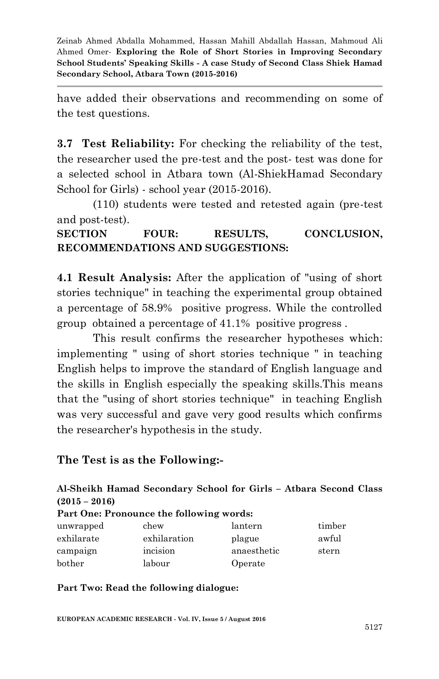have added their observations and recommending on some of the test questions.

**3.7 Test Reliability:** For checking the reliability of the test, the researcher used the pre-test and the post- test was done for a selected school in Atbara town (Al-ShiekHamad Secondary School for Girls) - school year (2015-2016).

(110) students were tested and retested again (pre-test and post-test).

SECTION FOUR: RESULTS, CONCLUSION, **RECOMMENDATIONS AND SUGGESTIONS:**

**4.1 Result Analysis:** After the application of "using of short stories technique" in teaching the experimental group obtained a percentage of 58.9% positive progress. While the controlled group obtained a percentage of 41.1% positive progress .

This result confirms the researcher hypotheses which: implementing " using of short stories technique " in teaching English helps to improve the standard of English language and the skills in English especially the speaking skills.This means that the "using of short stories technique" in teaching English was very successful and gave very good results which confirms the researcher's hypothesis in the study.

### **The Test is as the Following:-**

#### **Al-Sheikh Hamad Secondary School for Girls – Atbara Second Class (2015 – 2016)**

| Part One: Pronounce the following words: |              |             |        |
|------------------------------------------|--------------|-------------|--------|
| unwrapped                                | chew         | lantern     | timber |
| exhilarate                               | exhilaration | plague      | awful  |
| campaign                                 | incision     | anaesthetic | stern  |
| bother                                   | labour       | Operate     |        |

**Part Two: Read the following dialogue:**

**EUROPEAN ACADEMIC RESEARCH - Vol. IV, Issue 5 / August 2016**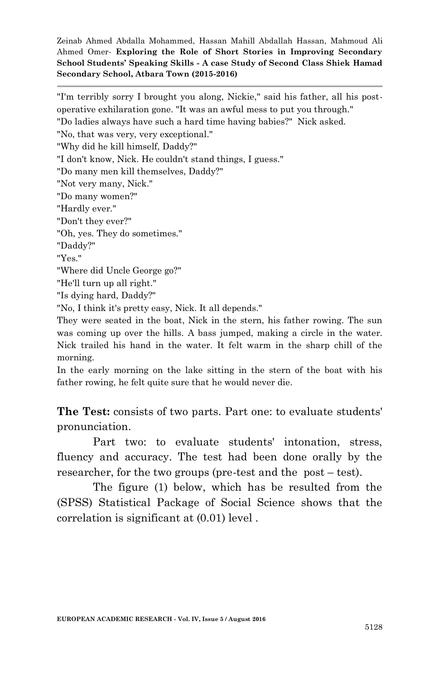"I'm terribly sorry I brought you along, Nickie," said his father, all his postoperative exhilaration gone. "It was an awful mess to put you through." "Do ladies always have such a hard time having babies?" Nick asked. "No, that was very, very exceptional." "Why did he kill himself, Daddy?" "I don't know, Nick. He couldn't stand things, I guess." "Do many men kill themselves, Daddy?" "Not very many, Nick." "Do many women?" "Hardly ever." "Don't they ever?" "Oh, yes. They do sometimes." "Daddy?" "Yes." "Where did Uncle George go?" "He'll turn up all right." "Is dying hard, Daddy?" "No, I think it's pretty easy, Nick. It all depends." They were seated in the boat, Nick in the stern, his father rowing. The sun

was coming up over the hills. A bass jumped, making a circle in the water. Nick trailed his hand in the water. It felt warm in the sharp chill of the morning.

In the early morning on the lake sitting in the stern of the boat with his father rowing, he felt quite sure that he would never die.

**The Test:** consists of two parts. Part one: to evaluate students' pronunciation.

Part two: to evaluate students' intonation, stress, fluency and accuracy. The test had been done orally by the researcher, for the two groups (pre-test and the post – test).

The figure (1) below, which has be resulted from the (SPSS) Statistical Package of Social Science shows that the correlation is significant at (0.01) level .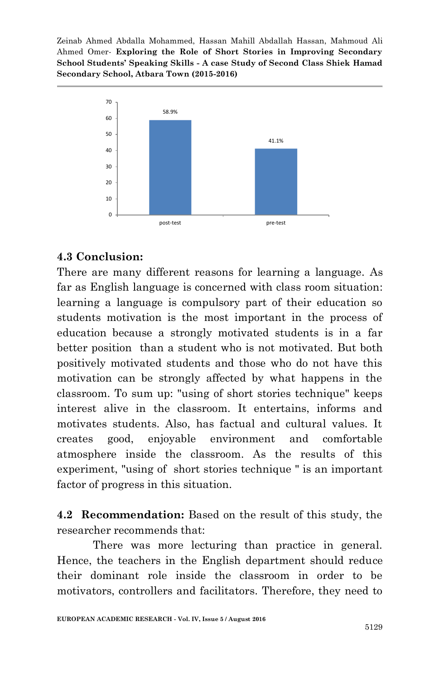

### **4.3 Conclusion:**

There are many different reasons for learning a language. As far as English language is concerned with class room situation: learning a language is compulsory part of their education so students motivation is the most important in the process of education because a strongly motivated students is in a far better position than a student who is not motivated. But both positively motivated students and those who do not have this motivation can be strongly affected by what happens in the classroom. To sum up: "using of short stories technique" keeps interest alive in the classroom. It entertains, informs and motivates students. Also, has factual and cultural values. It creates good, enjoyable environment and comfortable atmosphere inside the classroom. As the results of this experiment, "using of short stories technique " is an important factor of progress in this situation.

**4.2 Recommendation:** Based on the result of this study, the researcher recommends that:

There was more lecturing than practice in general. Hence, the teachers in the English department should reduce their dominant role inside the classroom in order to be motivators, controllers and facilitators. Therefore, they need to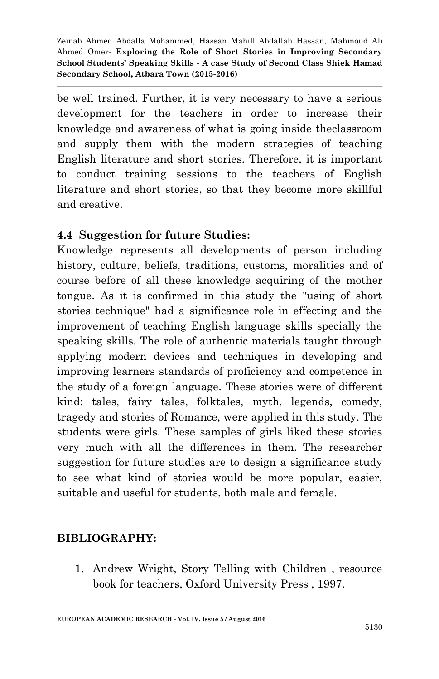be well trained. Further, it is very necessary to have a serious development for the teachers in order to increase their knowledge and awareness of what is going inside theclassroom and supply them with the modern strategies of teaching English literature and short stories. Therefore, it is important to conduct training sessions to the teachers of English literature and short stories, so that they become more skillful and creative.

### **4.4 Suggestion for future Studies:**

Knowledge represents all developments of person including history, culture, beliefs, traditions, customs, moralities and of course before of all these knowledge acquiring of the mother tongue. As it is confirmed in this study the "using of short stories technique" had a significance role in effecting and the improvement of teaching English language skills specially the speaking skills. The role of authentic materials taught through applying modern devices and techniques in developing and improving learners standards of proficiency and competence in the study of a foreign language. These stories were of different kind: tales, fairy tales, folktales, myth, legends, comedy, tragedy and stories of Romance, were applied in this study. The students were girls. These samples of girls liked these stories very much with all the differences in them. The researcher suggestion for future studies are to design a significance study to see what kind of stories would be more popular, easier, suitable and useful for students, both male and female.

### **BIBLIOGRAPHY:**

1. Andrew Wright, Story Telling with Children , resource book for teachers, Oxford University Press , 1997.